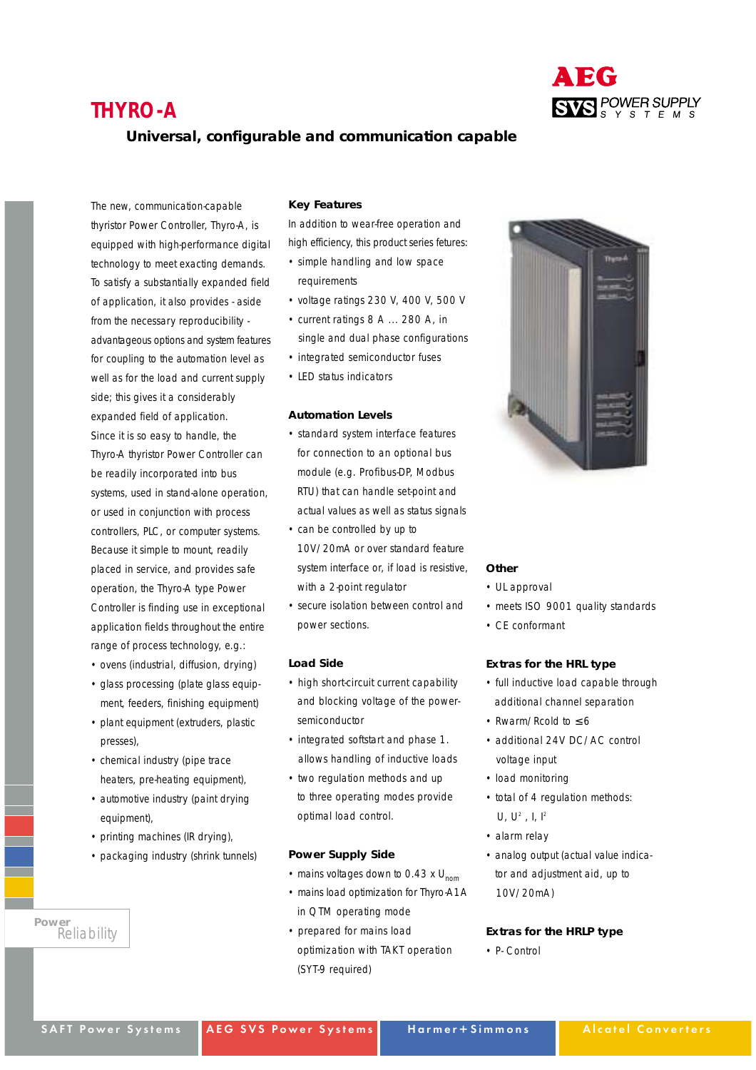## **THYRO-A**



## **Universal, configurable and communication capable**

The new, communication-capable thyristor Power Controller, Thyro-A, is equipped with high-performance digital technology to meet exacting demands. To satisfy a substantially expanded field of application, it also provides - aside from the necessary reproducibility advantageous options and system features for coupling to the automation level as well as for the load and current supply side; this gives it a considerably expanded field of application. Since it is so easy to handle, the Thyro-A thyristor Power Controller can be readily incorporated into bus systems, used in stand-alone operation, or used in conjunction with process controllers, PLC, or computer systems. Because it simple to mount, readily placed in service, and provides safe operation, the Thyro-A type Power Controller is finding use in exceptional application fields throughout the entire range of process technology, e.g.:

- ovens (industrial, diffusion, drying)
- glass processing (plate glass equipment, feeders, finishing equipment)
- plant equipment (extruders, plastic presses),
- chemical industry (pipe trace heaters, pre-heating equipment),
- automotive industry (paint drying equipment),
- printing machines (IR drying),
- packaging industry (shrink tunnels)

```
Power
Reliability
```
### **Key Features**

In addition to wear-free operation and high efficiency, this product series fetures:

- simple handling and low space requirements
- voltage ratings 230 V, 400 V, 500 V
- current ratings 8 A ... 280 A, in single and dual phase configurations
- integrated semiconductor fuses
- LED status indicators

## **Automation Levels**

- standard system interface features for connection to an optional bus module (e.g. Profibus-DP, Modbus RTU) that can handle set-point and actual values as well as status signals
- can be controlled by up to 10V/20mA or over standard feature system interface or, if load is resistive, with a 2-point regulator
- secure isolation between control and power sections.

### **Load Side**

- high short-circuit current capability and blocking voltage of the powersemiconductor
- integrated softstart and phase 1. allows handling of inductive loads
- two regulation methods and up to three operating modes provide optimal load control.

## **Power Supply Side**

- mains voltages down to 0.43  $\times$  U<sub>nom</sub>
- mains load optimization for Thyro-A1A in QTM operating mode
- prepared for mains load optimization with TAKT operation (SYT-9 required)



#### **Other**

- UL approval
- meets ISO 9001 quality standards
- CE conformant

## **Extras for the HRL type**

- full inductive load capable through additional channel separation
- Rwarm/Rcold to ≤ 6
- additional 24V DC/AC control voltage input
- load monitoring
- total of 4 regulation methods: U,  $U^2$ , I,  $I^2$
- alarm relay
- analog output (actual value indicator and adjustment aid, up to 10V/20mA)

## **Extras for the HRLP type**

• P- Control